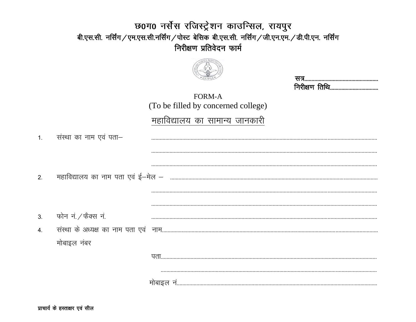#### छ0ग0 नर्सेस रजिस्ट्रेशन काउन्सिल, रायपुर बी.एस.सी. नर्सिंग / एम.एस.सी.नर्सिंग / पोस्ट बेसिक बी.एस.सी. नर्सिंग / जी.एन.एम. / डी.पी.एन. नर्सिंग निरीक्षण प्रतिवेदन फार्म



| and the state of the con- |  |
|---------------------------|--|

**FORM-A** (To be filled by concerned college)

#### महाविद्यालय का सामान्य जानकारी

| $\overline{1}$ . | संस्था का नाम एवं पता– |  |
|------------------|------------------------|--|
|                  |                        |  |
|                  |                        |  |
| 2.               |                        |  |
|                  |                        |  |
|                  |                        |  |
| 3.               | फोन नं. ⁄ फैक्स नं.    |  |
| $\overline{4}$ . |                        |  |
|                  | मोबाइल नंबर            |  |
|                  |                        |  |
|                  |                        |  |
|                  |                        |  |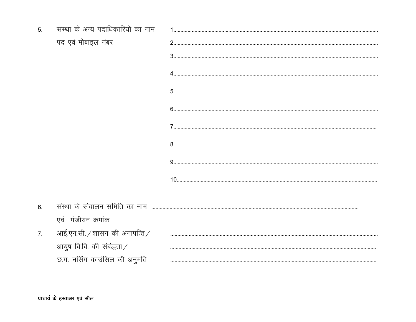| 5 <sub>1</sub> | संस्था के अन्य पदाधिकारियों का नाम |  |
|----------------|------------------------------------|--|
|                | पद एवं मोबाइल नंबर                 |  |
|                |                                    |  |
|                |                                    |  |
|                |                                    |  |
|                |                                    |  |
|                |                                    |  |
|                |                                    |  |
|                |                                    |  |
|                |                                    |  |
| 6.             | संस्था के संचालन समिति का नाम      |  |
|                | एवं पंजीयन क्रमांक                 |  |
| 7.             | आई.एन.सी. / शासन की अनापत्ति /     |  |
|                | आयुष वि.वि. की संबंद्धता $/$       |  |
|                | छ.ग. नर्सिंग काउंसिल की अनुमति     |  |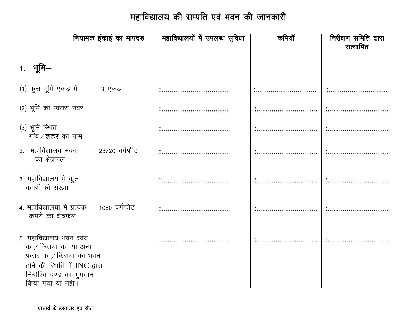# <u>महाविद्यालय की सम्पति एवं भवन की जानकारी</u>

|                                                                                                                                                                   |               | नियामक ईकाई का मापदंड महाविद्यालयों में उपलब्ध सुविधा | कमियाँ | निरीक्षण समिति द्वारा<br>सत्यापित |
|-------------------------------------------------------------------------------------------------------------------------------------------------------------------|---------------|-------------------------------------------------------|--------|-----------------------------------|
| 1. भूमि–                                                                                                                                                          |               |                                                       |        |                                   |
| (1) कुल भूमि एकड़ में.                                                                                                                                            | 3 एकड़        |                                                       |        |                                   |
| (2) भूमि का खसरा नंबर                                                                                                                                             |               |                                                       |        |                                   |
| (3) भूमि रिथत<br>गांव / <b>शहर</b> का नाम                                                                                                                         |               |                                                       |        |                                   |
| 2. महाविद्यालय भवन<br>का क्षेत्रफल                                                                                                                                | 23720 वर्गफीट |                                                       |        |                                   |
| 3. महाविद्यालय में कुल<br>कमरों की संख्या                                                                                                                         |               | .<br>                                                 |        |                                   |
| 4. महाविद्यालया में प्रत्येक<br>कमरों का क्षेत्रफल                                                                                                                | 1080 वर्गफीट  |                                                       |        |                                   |
| 5. महाविद्यालय भवन स्वयं<br>का/किराया का या अन्य<br>प्रकार का $/$ किराया का भवन<br>होने की स्थिति में INC द्वारा<br>निर्धारित दण्ड का भुगतान<br>किया गया या नहीं। |               |                                                       |        |                                   |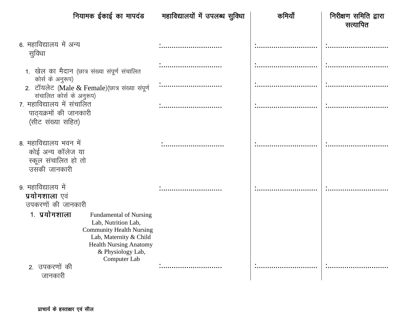| नियामक ईकाई का मापदंड                                                                                                                                                                                    | महाविद्यालयों में उपलब्ध सुविधा | कमियाँ | निरीक्षण समिति द्वारा<br>सत्यापित |
|----------------------------------------------------------------------------------------------------------------------------------------------------------------------------------------------------------|---------------------------------|--------|-----------------------------------|
| 6. महाविद्यालय में अन्य<br>सुविधा                                                                                                                                                                        |                                 |        |                                   |
| 1. खेल का मैदान (छात्र संख्या संपूर्ण संचालित<br>कोर्स के अनुरूप)                                                                                                                                        |                                 |        |                                   |
| 2. टॉयलेट (Male & Female) (छात्र संख्या संपूर्ण<br>संचालित कोर्स के अनुरूप)                                                                                                                              | .<br>                           |        |                                   |
| 7. महाविद्यालय में संचालित<br>पाठ्यक्रमों की जानकारी<br>(सीट संख्या सहित)                                                                                                                                |                                 |        |                                   |
| 8. महाविद्यालय भवन में<br>कोई अन्य कॉलेज या<br>स्कूल संचालित हो तो<br>उसकी जानकारी                                                                                                                       |                                 |        |                                   |
| 9. महाविद्यालय में<br>प्रयोगशाला एवं<br>उपकरणों की जानकारी                                                                                                                                               |                                 |        |                                   |
| 1. प्रयोगशाला<br><b>Fundamental of Nursing</b><br>Lab, Nutrition Lab,<br><b>Community Health Nursing</b><br>Lab, Maternity & Child<br><b>Health Nursing Anatomy</b><br>& Physiology Lab,<br>Computer Lab |                                 |        |                                   |
| 2. उपकरणों की<br>जानकारी                                                                                                                                                                                 |                                 |        |                                   |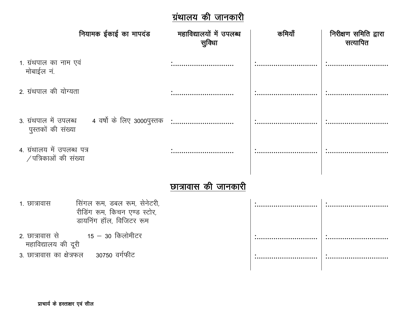### ग्रंथालय की जानकारी

| नियामक ईकाई का मापदंड                                                                                   | महाविद्यालयों में उपलब्ध<br>सुविधा | कमियाँ | निरीक्षण समिति द्वारा<br>सत्यापित |
|---------------------------------------------------------------------------------------------------------|------------------------------------|--------|-----------------------------------|
| 1. ग्रंथपाल का नाम एवं<br>मोबाईल नं.                                                                    |                                    |        |                                   |
| 2. ग्रंथपाल की योग्यता                                                                                  |                                    |        |                                   |
| 3. ग्रंथपाल में उपलब्ध 4 वर्षों के लिए 3000पुस्तक :<br>पुस्तकों की संख्या                               |                                    |        |                                   |
| 4. ग्रंथालय में उपलब्ध पत्र<br>$/$ पत्रिकाओं की संख्या                                                  |                                    |        |                                   |
|                                                                                                         | छात्रावास की जानकारी               |        |                                   |
| सिंगल रूम, डबल रूम, सेनेटरी,<br>1. छात्रावास<br>रीडिंग रूम, किचन एण्ड स्टोर,<br>डायनिंग हॉल, विजिटर रूम |                                    |        |                                   |
| 2. छात्रावास से<br>15 – 30 किलोमीटर<br>महाविद्यालय की दूरी                                              |                                    |        |                                   |
| 3. छात्रावास का क्षेत्रफल 30750 वर्गफीट                                                                 |                                    |        |                                   |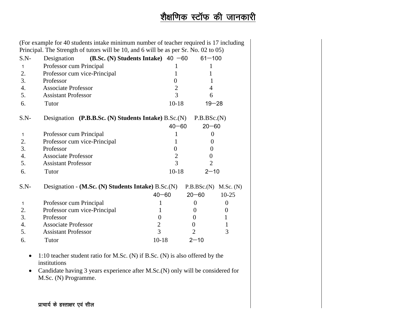## शेक्षणिक स्टॉफ की जानकारी

|              | (For example for 40 students intake minimum number of teacher required is 17 including       |                  |                  |                  |
|--------------|----------------------------------------------------------------------------------------------|------------------|------------------|------------------|
|              | Principal. The Strength of tutors will be 10, and 6 will be as per Sr. No. 02 to 05)         |                  |                  |                  |
| $S.N-$       | Designation<br>(B.Sc. (N) Students Intake) $40 -60$                                          |                  | $61 - 100$       |                  |
| $\mathbf{1}$ | Professor cum Principal                                                                      | 1                | 1                |                  |
| 2.           | Professor cum vice-Principal                                                                 | 1                | 1                |                  |
| 3.           | Professor                                                                                    | $\boldsymbol{0}$ | 1                |                  |
| 4.           | <b>Associate Professor</b>                                                                   | $\overline{2}$   | 4                |                  |
| 5.           | <b>Assistant Professor</b>                                                                   | $\overline{3}$   | 6                |                  |
| 6.           | Tutor                                                                                        | $10-18$          |                  | $19 - 28$        |
| $S.N-$       | Designation (P.B.B.Sc. (N) Students Intake) B.Sc. (N)                                        |                  | P.B.BSc.(N)      |                  |
|              |                                                                                              | $40 - 60$        | $20 - 60$        |                  |
| $\mathbf{1}$ | Professor cum Principal                                                                      | 1                | $\Omega$         |                  |
| 2.           | Professor cum vice-Principal                                                                 | 1                | $\Omega$         |                  |
| 3.           | Professor                                                                                    | $\overline{0}$   | $\theta$         |                  |
| 4.           | <b>Associate Professor</b>                                                                   | $\overline{2}$   | $\theta$         |                  |
| 5.           | <b>Assistant Professor</b>                                                                   | $\overline{3}$   | $\overline{2}$   |                  |
| 6.           | Tutor                                                                                        | $10-18$          | $2 - 10$         |                  |
| $S.N-$       | Designation - (M.Sc. (N) Students Intake) B.Sc. (N)                                          |                  | P.B.BSc.(N)      | M.Sc. (N)        |
|              |                                                                                              | $40 - 60$        | $20 - 60$        | $10 - 25$        |
| $\mathbf 1$  | Professor cum Principal                                                                      | 1                | $\boldsymbol{0}$ | $\theta$         |
| 2.           | Professor cum vice-Principal                                                                 | 1                | $\overline{0}$   | $\boldsymbol{0}$ |
| 3.           | Professor                                                                                    | $\theta$         | $\theta$         | $\mathbf{1}$     |
| 4.           | <b>Associate Professor</b>                                                                   | $\mathfrak{2}$   | $\boldsymbol{0}$ | 1                |
| 5.           | <b>Assistant Professor</b>                                                                   | 3                | $\overline{2}$   | 3                |
| 6.           | Tutor                                                                                        | $10 - 18$        | $2 - 10$         |                  |
| ٠            | 1:10 teacher student ratio for M.Sc. (N) if B.Sc. (N) is also offered by the<br>institutions |                  |                  |                  |

 Candidate having 3 years experience after M.Sc.(N) only will be considered for M.Sc. (N) Programme.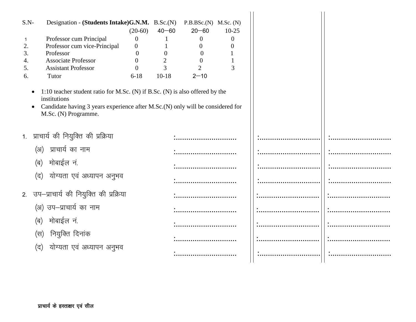| $S.N-$<br>$\mathbf 1$<br>2.<br>3.<br>4.<br>5.<br>6. | Designation - (Students Intake)G.N.M. B.Sc.(N) P.B.BSc.(N) M.Sc. (N)<br>Professor cum Principal<br>Professor cum vice-Principal<br>Professor<br><b>Associate Professor</b><br><b>Assistant Professor</b><br>Tutor | $(20-60)$<br>$\theta$<br>$\mathbf{0}$<br>$\theta$<br>$\overline{0}$<br>$\Omega$<br>$6 - 18$ | $40 - 60$<br>$\overline{0}$<br>$\mathbf{2}$<br>3<br>$10-18$ | $20 - 60$<br>$\theta$<br>$\overline{0}$<br>$\theta$<br>$\theta$<br>$\overline{2}$<br>$2 - 10$ | $10-25$<br>$\theta$<br>$\Omega$<br>3 |  |
|-----------------------------------------------------|-------------------------------------------------------------------------------------------------------------------------------------------------------------------------------------------------------------------|---------------------------------------------------------------------------------------------|-------------------------------------------------------------|-----------------------------------------------------------------------------------------------|--------------------------------------|--|
| $\bullet$<br>$\bullet$                              | 1:10 teacher student ratio for M.Sc. (N) if B.Sc. (N) is also offered by the<br>institutions<br>Candidate having 3 years experience after M.Sc.(N) only will be considered for<br>M.Sc. (N) Programme.            |                                                                                             |                                                             |                                                                                               |                                      |  |
|                                                     | 1. प्राचार्य की नियुक्ति की प्रक्रिया                                                                                                                                                                             |                                                                                             |                                                             |                                                                                               |                                      |  |
|                                                     | प्राचार्य का नाम<br>(3I)                                                                                                                                                                                          |                                                                                             |                                                             |                                                                                               |                                      |  |
|                                                     | मोबाईल नं.<br>(ब)                                                                                                                                                                                                 |                                                                                             |                                                             |                                                                                               |                                      |  |
|                                                     | योग्यता एवं अध्यापन अनुभव<br>(द)                                                                                                                                                                                  |                                                                                             |                                                             |                                                                                               |                                      |  |
|                                                     | 2. उप–प्राचार्य की नियुक्ति की प्रक्रिया                                                                                                                                                                          |                                                                                             |                                                             |                                                                                               |                                      |  |
|                                                     | (अ) उप-प्राचार्य का नाम                                                                                                                                                                                           |                                                                                             |                                                             |                                                                                               |                                      |  |
|                                                     | मोबाईल नं.<br>(ब)                                                                                                                                                                                                 |                                                                                             |                                                             |                                                                                               |                                      |  |
|                                                     | नियुक्ति दिनांक<br>(स)                                                                                                                                                                                            |                                                                                             |                                                             |                                                                                               |                                      |  |
|                                                     | योग्यता एवं अध्यापन अनुभव<br>(द)                                                                                                                                                                                  |                                                                                             |                                                             |                                                                                               |                                      |  |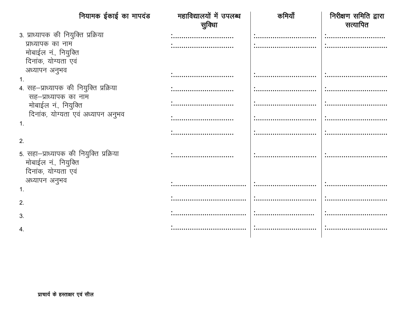|                                                                                              | नियामक ईकाई का मापदंड             | महाविद्यालयों में उपलब्ध | कमियाँ | निरीक्षण समिति द्वारा |
|----------------------------------------------------------------------------------------------|-----------------------------------|--------------------------|--------|-----------------------|
|                                                                                              |                                   | सुविधा                   |        | सत्यापित              |
| 3. प्राध्यापक की नियुक्ति प्रक्रिया                                                          |                                   | .<br>                    |        |                       |
| प्राध्यापक का नाम<br>मोबाईल नं., नियुक्ति                                                    |                                   |                          |        |                       |
| दिनांक, योग्यता एवं                                                                          |                                   |                          |        |                       |
| अध्यापन अनुभव                                                                                |                                   | .<br>                    |        |                       |
| 4. सह—प्राध्यापक की नियुक्ति प्रक्रिया<br>सह–प्राध्यापक का नाम                               |                                   |                          |        |                       |
| मोबाईल नं., नियुक्ति                                                                         |                                   | .<br>                    |        |                       |
| $\mathbf{1}$ .                                                                               | दिनांक, योग्यता एवं अध्यापन अनुभव | .<br>                    |        |                       |
|                                                                                              |                                   | .<br>                    |        |                       |
| 2.<br>5. सहा-प्राध्यापक की नियुक्ति प्रक्रिया<br>मोबाईल नं., नियुक्ति<br>दिनांक, योग्यता एवं |                                   |                          |        |                       |
| अध्यापन अनुभव<br>$\mathbf{1}$ .                                                              |                                   |                          |        |                       |
| 2.                                                                                           |                                   |                          |        |                       |
| 3.                                                                                           |                                   |                          |        |                       |
|                                                                                              |                                   |                          |        |                       |
|                                                                                              |                                   |                          |        |                       |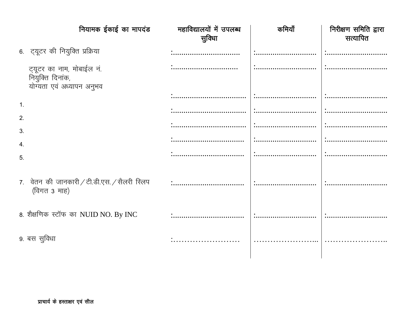|                  | नियामक ईकाई का मापदंड                                                      | महाविद्यालयों में उपलब्ध<br>सुविधा | कमियाँ | निरीक्षण समिति द्वारा<br>सत्यापित |
|------------------|----------------------------------------------------------------------------|------------------------------------|--------|-----------------------------------|
|                  | 6. ट्यूटर की नियुक्ति प्रक्रिया                                            | .<br>                              |        |                                   |
|                  | ट्यूटर का नाम, मोबाईल नं.<br>नियुक्ति दिनांक,<br>योग्यता एवं अध्यापन अनुभव |                                    |        | $\ddotsc$                         |
| $\overline{1}$ . |                                                                            |                                    |        |                                   |
| 2.               |                                                                            |                                    |        |                                   |
| 3.               |                                                                            |                                    |        |                                   |
| 4.               |                                                                            |                                    | .<br>  |                                   |
| 5.               |                                                                            |                                    |        |                                   |
|                  | 7. वेतन की जानकारी / टी.डी.एस. / सैलरी स्लिप<br>(विगत 3 माह)               |                                    |        |                                   |
|                  | 8. शैक्षणिक स्टॉफ का NUID NO. By INC                                       |                                    |        |                                   |
|                  | 9. बस सुविधा                                                               |                                    |        |                                   |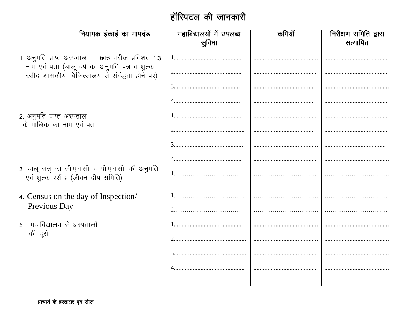## <u>हॉस्पिटल की जानकारी</u>

| नियामक ईकाई का मापदंड                                                                         | महाविद्यालयों में उपलब्ध<br>सुविधा | कमियाँ | निरीक्षण समिति द्वारा<br>सत्यापित |
|-----------------------------------------------------------------------------------------------|------------------------------------|--------|-----------------------------------|
| 1. अनुमति प्राप्त अस्पताल छात्र मरीज प्रतिशत 1:3                                              | 1                                  |        |                                   |
| नाम एवं पता (चालू वर्ष का अनुमति पत्र व शुल्क<br>रसीद शासकीय चिकित्सालय से संबंद्धता होने पर) |                                    |        |                                   |
|                                                                                               |                                    |        |                                   |
|                                                                                               |                                    |        |                                   |
| 2. अनुमति प्राप्त अस्पताल<br>के मालिक का नाम एवं पता                                          |                                    |        |                                   |
|                                                                                               |                                    |        |                                   |
|                                                                                               |                                    |        |                                   |
|                                                                                               |                                    |        |                                   |
| 3. चालू सत्र् का सी.एच.सी. व पी.एच.सी. की अनुमति<br>एवं शुल्क रसीद (जीवन दीप समिति)           |                                    |        |                                   |
| 4. Census on the day of Inspection/                                                           |                                    |        |                                   |
| Previous Day                                                                                  |                                    |        |                                   |
| 5. महाविद्यालय से अस्पतालों                                                                   |                                    |        |                                   |
| की दूरी                                                                                       |                                    |        |                                   |
|                                                                                               |                                    |        |                                   |
|                                                                                               |                                    |        |                                   |
|                                                                                               |                                    |        |                                   |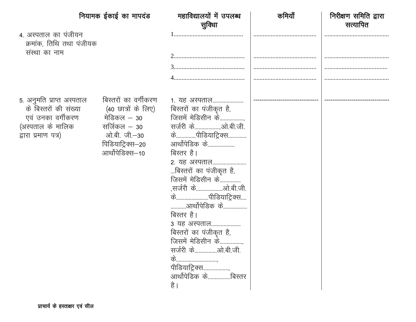|                                                                                                                     | नियामक ईकाई का मापदंड                                                                                                               | महाविद्यालयों में उपलब्ध<br>सुविधा                                                                                                                                                                                                                                                                                                                            | कमियाँ | निरीक्षण समिति द्वारा<br>सत्यापित |
|---------------------------------------------------------------------------------------------------------------------|-------------------------------------------------------------------------------------------------------------------------------------|---------------------------------------------------------------------------------------------------------------------------------------------------------------------------------------------------------------------------------------------------------------------------------------------------------------------------------------------------------------|--------|-----------------------------------|
| 4. अस्पताल का पंजीयन<br>क्रमांक, तिथि तथा पंजीयक<br>संस्था का नाम                                                   |                                                                                                                                     |                                                                                                                                                                                                                                                                                                                                                               |        |                                   |
|                                                                                                                     |                                                                                                                                     |                                                                                                                                                                                                                                                                                                                                                               |        |                                   |
|                                                                                                                     |                                                                                                                                     |                                                                                                                                                                                                                                                                                                                                                               |        |                                   |
|                                                                                                                     |                                                                                                                                     |                                                                                                                                                                                                                                                                                                                                                               |        |                                   |
| 5. अनुमति प्राप्त अस्पताल<br>के बिस्तरों की संख्या<br>एवं उनका वर्गीकरण<br>(अस्पताल के मालिक<br>द्वारा प्रमाण पत्र) | बिस्तरों का वर्गीकरण<br>(40 छात्रों के लिए)<br>मेडिकल – 30<br>सर्जिकल $-$ 30<br>ओ.बी. जी.–30<br>पिडियाट्रिक्स–20<br>आर्थोपेडिक्स–10 | <u>1. यह अस्पताल</u><br>बिस्तरों का पंजीकृत है,<br>जिसमें मेडिसीन के<br>केपीडियाट्रिक्स<br>आर्थोपेडिक के<br>बिस्तर है।<br>2. यह अस्पताल<br>बिस्तरों का पंजीकृत है,<br>जिसमें मेडिसीन के<br>केपीडियाट्रिक्स<br>आर्थोपेडिक के<br>बिस्तर है।<br>3 यह अस्पताल<br>बिस्तरों का पंजीकृत है,<br>जिसमें मेडिसीन के<br>के<br>पीडियाट्रिक्स<br>आर्थोपेडिक केबिस्तर<br>है |        |                                   |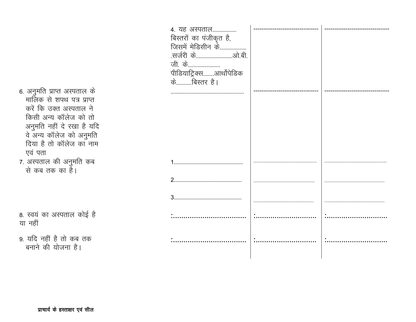|              | 4. यह अस्पताल<br>बिस्तरों का पंजीकृत है,<br>जिसमें मेडिसीन के<br>जी. के<br>पीडियाट्रिक्सआर्थोपेडिक<br>केबिस्तर है। |  |
|--------------|--------------------------------------------------------------------------------------------------------------------|--|
| दे<br>Ì<br>म |                                                                                                                    |  |
|              | $\mathbf 1$                                                                                                        |  |
|              |                                                                                                                    |  |
|              |                                                                                                                    |  |
|              |                                                                                                                    |  |
|              |                                                                                                                    |  |
|              |                                                                                                                    |  |

6. अनुमति प्राप्त अस्पताल के मालिक से शपथ पत्र प्राप्त करें कि उक्त अस्पताल ने किसी अन्य कॉलेज को तो अनुमति नहीं दे रखा है यरि<br>वे अन्य कॉलेज को अनुमति दिया है तो कॉलेज का नाम एवं पता

7. अस्पताल की अनुमति कब<br>से कब तक का है।

8. स्वयं का अस्पताल कोई है या नहीं

9. यदि नहीं है तो कब तक बनाने की योजना है।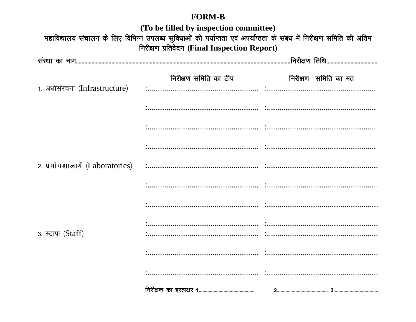#### **FORM-B**

| (To be filled by inspection committee)<br>महाविद्यालय संचालन के लिए विभिन्न उपलब्ध सुविधाओं की पर्याप्तता एवं अपर्याप्तता के संबंध में निरीक्षण समिति की अंतिम<br>निरीक्षण प्रतिवेदन (Final Inspection Report) |  |  |  |  |  |
|----------------------------------------------------------------------------------------------------------------------------------------------------------------------------------------------------------------|--|--|--|--|--|
|                                                                                                                                                                                                                |  |  |  |  |  |
|                                                                                                                                                                                                                |  |  |  |  |  |
| 1. अधोसंरचना (Infrastructure)                                                                                                                                                                                  |  |  |  |  |  |
|                                                                                                                                                                                                                |  |  |  |  |  |
|                                                                                                                                                                                                                |  |  |  |  |  |
|                                                                                                                                                                                                                |  |  |  |  |  |
|                                                                                                                                                                                                                |  |  |  |  |  |
|                                                                                                                                                                                                                |  |  |  |  |  |
|                                                                                                                                                                                                                |  |  |  |  |  |
| 3. स्टाफ (Staff)                                                                                                                                                                                               |  |  |  |  |  |
|                                                                                                                                                                                                                |  |  |  |  |  |
|                                                                                                                                                                                                                |  |  |  |  |  |
|                                                                                                                                                                                                                |  |  |  |  |  |
|                                                                                                                                                                                                                |  |  |  |  |  |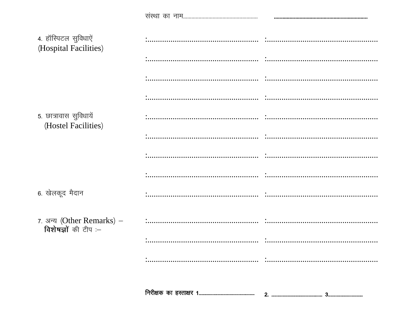| 4. हॉस्पिटल सुविधाऐं<br>(Hospital Facilities)     |  |
|---------------------------------------------------|--|
|                                                   |  |
|                                                   |  |
|                                                   |  |
| 5. छात्रावास सुविधायें<br>(Hostel Facilities)     |  |
|                                                   |  |
|                                                   |  |
|                                                   |  |
| 6. खेलकूद मैदान                                   |  |
| 7. अन्य (Other Remarks) –<br>विशेषज्ञों की टीप :- |  |
|                                                   |  |
|                                                   |  |
|                                                   |  |
|                                                   |  |